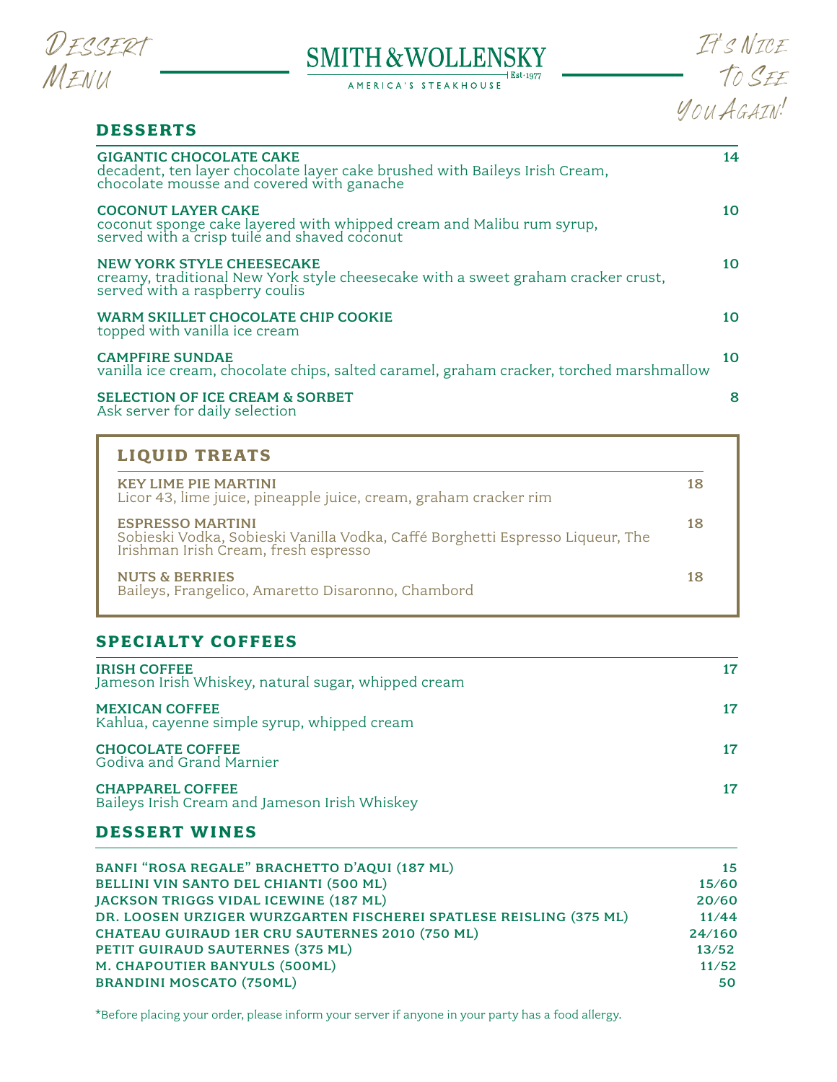

## **SMITH & WOLLENSKY**  $+$  Est $\cdot$ 1977

AMERICA'S STEAKHOUSE

IT'<sup>S</sup> NICE T<sup>O</sup> SEE YOU AGAIN!

# **DESSERTS** GIGANTIC CHOCOLATE CAKE 14 decadent, ten layer chocolate layer cake brushed with Baileys Irish Cream, chocolate mousse and covered with ganache COCONUT LAYER CAKE 10 coconut sponge cake layered with whipped cream and Malibu rum syrup, served with a crisp tuile and shaved coconut NEW YORK STYLE CHEESECAKE 10 creamy, traditional New York style cheesecake with a sweet graham cracker crust, served with a raspberry coulis WARM SKILLET CHOCOLATE CHIP COOKIE 2000 10 10 topped with vanilla ice cream CAMPFIRE SUNDAE 10 vanilla ice cream, chocolate chips, salted caramel, graham cracker, torched marshmallow SELECTION OF ICE CREAM & SORBET 8 8 Ask server for daily selection

| <b>LIQUID TREATS</b>                                                                                                                          |    |
|-----------------------------------------------------------------------------------------------------------------------------------------------|----|
| <b>KEY LIME PIE MARTINI</b><br>Licor 43, lime juice, pineapple juice, cream, graham cracker rim                                               | 18 |
| <b>ESPRESSO MARTINI</b><br>Sobieski Vodka, Sobieski Vanilla Vodka, Caffé Borghetti Espresso Liqueur, The Irishman Irish Cream, fresh espresso | 18 |
| <b>NUTS &amp; BERRIES</b><br>Baileys, Frangelico, Amaretto Disaronno, Chambord                                                                | 18 |

# **SPECIALTY COFFEES**

| <b>IRISH COFFEE</b><br>Jameson Irish Whiskey, natural sugar, whipped cream | 17 |
|----------------------------------------------------------------------------|----|
| <b>MEXICAN COFFEE</b><br>Kahlua, cayenne simple syrup, whipped cream       | 17 |
| <b>CHOCOLATE COFFEE</b><br>Godiva and Grand Marnier                        |    |
| <b>CHAPPAREL COFFEE</b><br>Baileys Irish Cream and Jameson Irish Whiskey   | 17 |

# **DESSERT WINES**

| BANFI "ROSA REGALE" BRACHETTO D'AQUI (187 ML)                      | 15     |
|--------------------------------------------------------------------|--------|
| BELLINI VIN SANTO DEL CHIANTI (500 ML)                             | 15/60  |
| JACKSON TRIGGS VIDAL ICEWINE (187 ML)                              | 20/60  |
| DR. LOOSEN URZIGER WURZGARTEN FISCHEREI SPATLESE REISLING (375 ML) | 11/44  |
| CHATEAU GUIRAUD 1ER CRU SAUTERNES 2010 (750 ML)                    | 24/160 |
| PETIT GUIRAUD SAUTERNES (375 ML)                                   | 13/52  |
| M. CHAPOUTIER BANYULS (500ML)                                      | 11/52  |
| <b>BRANDINI MOSCATO (750ML)</b>                                    | 50     |

\*Before placing your order, please inform your server if anyone in your party has a food allergy.